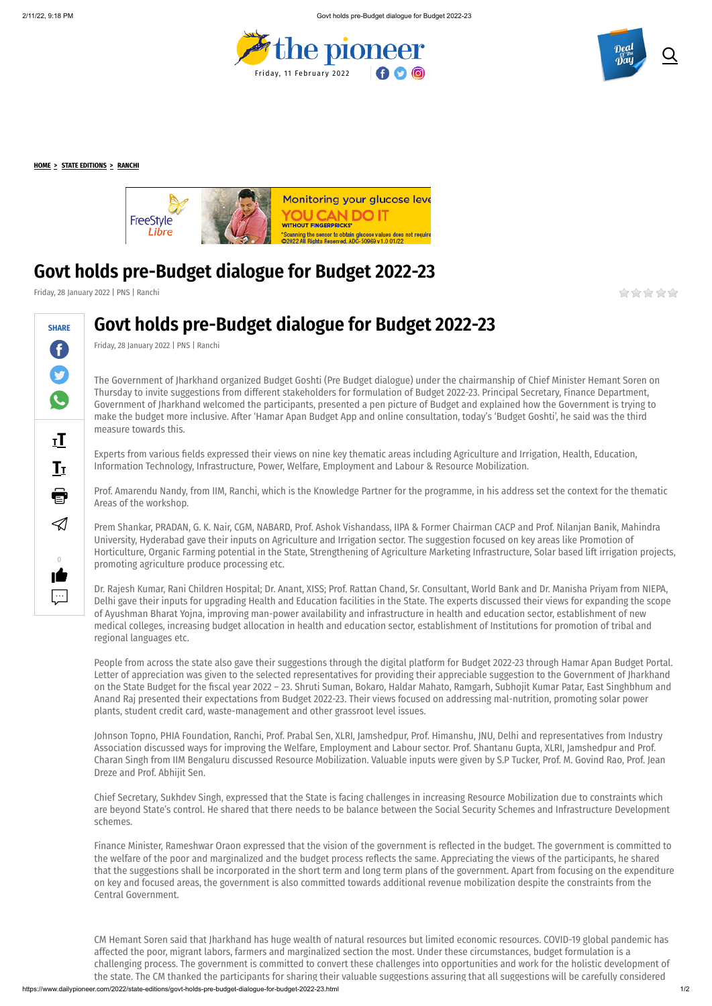#### **[HOME](https://www.dailypioneer.com/) > STATE [EDITIONS](https://www.dailypioneer.com/state-editions/page/1) > [RANCHI](https://www.dailypioneer.com/state-editions/ranchi/page/1)**



# **Govt holds pre-Budget dialogue for Budget 2022-23**

Friday, 28 January 2022 | PNS | Ranchi

食食食食食



# **Govt holds pre-Budget dialogue for Budget 2022-23**

Friday, 28 January 2022 | PNS | Ranchi

The Government of Jharkhand organized Budget Goshti (Pre Budget dialogue) under the chairmanship of Chief Minister Hemant Soren on Thursday to invite suggestions from different stakeholders for formulation of Budget 2022-23. Principal Secretary, Finance Department, Government of Jharkhand welcomed the participants, presented a pen picture of Budget and explained how the Government is trying to make the budget more inclusive. After 'Hamar Apan Budget App and online consultation, today's 'Budget Goshti', he said was the third measure towards this.

Experts from various fields expressed their views on nine key thematic areas including Agriculture and Irrigation, Health, Education, Information Technology, Infrastructure, Power, Welfare, Employment and Labour & Resource Mobilization.

Prof. Amarendu Nandy, from IIM, Ranchi, which is the Knowledge Partner for the programme, in his address set the context for the thematic Areas of the workshop.

Prem Shankar, PRADAN, G. K. Nair, CGM, NABARD, Prof. Ashok Vishandass, IIPA & Former Chairman CACP and Prof. Nilanjan Banik, Mahindra University, Hyderabad gave their inputs on Agriculture and Irrigation sector. The suggestion focused on key areas like Promotion of Horticulture, Organic Farming potential in the State, Strengthening of Agriculture Marketing Infrastructure, Solar based lift irrigation projects, promoting agriculture produce processing etc.

Dr. Rajesh Kumar, Rani Children Hospital; Dr. Anant, XISS; Prof. Rattan Chand, Sr. Consultant, World Bank and Dr. Manisha Priyam from NIEPA, Delhi gave their inputs for upgrading Health and Education facilities in the State. The experts discussed their views for expanding the scope of Ayushman Bharat Yojna, improving man-power availability and infrastructure in health and education sector, establishment of new medical colleges, increasing budget allocation in health and education sector, establishment of Institutions for promotion of tribal and regional languages etc.

https://www.dailypioneer.com/2022/state-editions/govt-holds-pre-budget-dialogue-for-budget-2022-23.html 1/2 CM Hemant Soren said that Jharkhand has huge wealth of natural resources but limited economic resources. COVID-19 global pandemic has affected the poor, migrant labors, farmers and marginalized section the most. Under these circumstances, budget formulation is a challenging process. The government is committed to convert these challenges into opportunities and work for the holistic development of the state. The CM thanked the participants for sharing their valuable suggestions assuring that all suggestions will be carefully considered

People from across the state also gave their suggestions through the digital platform for Budget 2022-23 through Hamar Apan Budget Portal. Letter of appreciation was given to the selected representatives for providing their appreciable suggestion to the Government of Jharkhand on the State Budget for the fiscal year 2022 – 23. Shruti Suman, Bokaro, Haldar Mahato, Ramgarh, Subhojit Kumar Patar, East Singhbhum and Anand Raj presented their expectations from Budget 2022-23. Their views focused on addressing mal-nutrition, promoting solar power plants, student credit card, waste-management and other grassroot level issues.

Johnson Topno, PHIA Foundation, Ranchi, Prof. Prabal Sen, XLRI, Jamshedpur, Prof. Himanshu, JNU, Delhi and representatives from Industry Association discussed ways for improving the Welfare, Employment and Labour sector. Prof. Shantanu Gupta, XLRI, Jamshedpur and Prof. Charan Singh from IIM Bengaluru discussed Resource Mobilization. Valuable inputs were given by S.P Tucker, Prof. M. Govind Rao, Prof. Jean Dreze and Prof. Abhijit Sen.

Chief Secretary, Sukhdev Singh, expressed that the State is facing challenges in increasing Resource Mobilization due to constraints which are beyond State's control. He shared that there needs to be balance between the Social Security Schemes and Infrastructure Development schemes.

Finance Minister, Rameshwar Oraon expressed that the vision of the government is reflected in the budget. The government is committed to the welfare of the poor and marginalized and the budget process reflects the same. Appreciating the views of the participants, he shared that the suggestions shall be incorporated in the short term and long term plans of the government. Apart from focusing on the expenditure on key and focused areas, the government is also committed towards additional revenue mobilization despite the constraints from the Central Government.